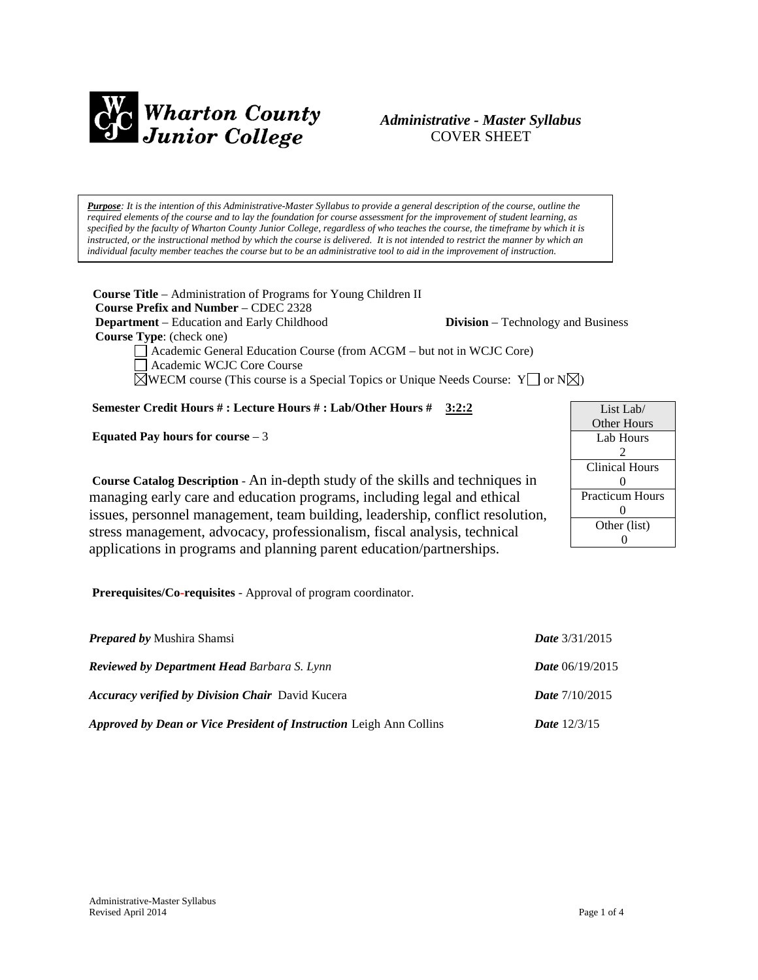

# *Administrative - Master Syllabus*  COVER SHEET

*Purpose: It is the intention of this Administrative-Master Syllabus to provide a general description of the course, outline the required elements of the course and to lay the foundation for course assessment for the improvement of student learning, as specified by the faculty of Wharton County Junior College, regardless of who teaches the course, the timeframe by which it is instructed, or the instructional method by which the course is delivered. It is not intended to restrict the manner by which an individual faculty member teaches the course but to be an administrative tool to aid in the improvement of instruction.*

**Course Title** – Administration of Programs for Young Children II  **Course Prefix and Number** – CDEC 2328 **Department** – Education and Early Childhood **Division** – Technology and Business

 **Course Type**: (check one)

Academic General Education Course (from ACGM – but not in WCJC Core)

Academic WCJC Core Course

 $\boxtimes$ WECM course (This course is a Special Topics or Unique Needs Course: Y  $\Box$  or N $\boxtimes$ )

# **Semester Credit Hours # : Lecture Hours # : Lab/Other Hours # 3:2:2**

**Equated Pay hours for course** – 3

List Lab/ Other Hours Lab Hours  $\mathcal{D}$ Clinical Hours  $\Omega$ Practicum Hours  $\Omega$ Other (list) 0

**Course Catalog Description** - An in-depth study of the skills and techniques in managing early care and education programs, including legal and ethical issues, personnel management, team building, leadership, conflict resolution, stress management, advocacy, professionalism, fiscal analysis, technical applications in programs and planning parent education/partnerships.

**Prerequisites/Co-requisites** - Approval of program coordinator.

| <b>Prepared by Mushira Shamsi</b>                                          | <i>Date</i> $3/31/2015$  |
|----------------------------------------------------------------------------|--------------------------|
| <b>Reviewed by Department Head Barbara S. Lynn</b>                         | <i>Date</i> $06/19/2015$ |
| <b>Accuracy verified by Division Chair</b> David Kucera                    | <b>Date</b> $7/10/2015$  |
| <b>Approved by Dean or Vice President of Instruction Leigh Ann Collins</b> | <b>Date</b> $12/3/15$    |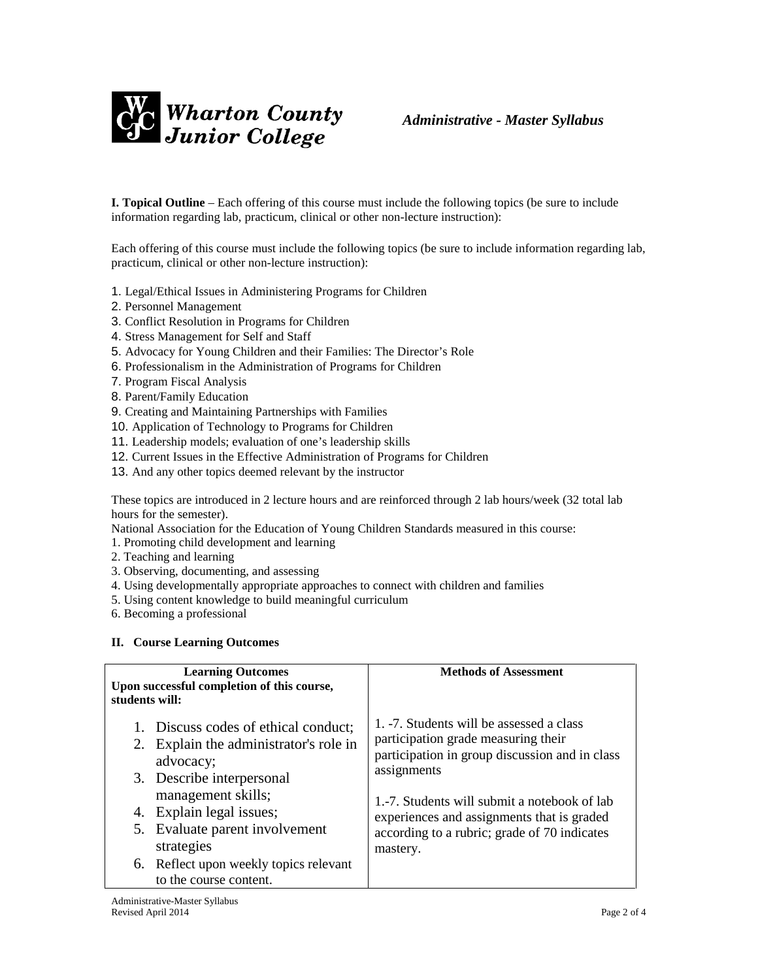

**I. Topical Outline** – Each offering of this course must include the following topics (be sure to include information regarding lab, practicum, clinical or other non-lecture instruction):

Each offering of this course must include the following topics (be sure to include information regarding lab, practicum, clinical or other non-lecture instruction):

- 1. Legal/Ethical Issues in Administering Programs for Children
- 2. Personnel Management
- 3. Conflict Resolution in Programs for Children
- 4. Stress Management for Self and Staff
- 5. Advocacy for Young Children and their Families: The Director's Role
- 6. Professionalism in the Administration of Programs for Children
- 7. Program Fiscal Analysis
- 8. Parent/Family Education
- 9. Creating and Maintaining Partnerships with Families
- 10. Application of Technology to Programs for Children
- 11. Leadership models; evaluation of one's leadership skills
- 12. Current Issues in the Effective Administration of Programs for Children
- 13. And any other topics deemed relevant by the instructor

These topics are introduced in 2 lecture hours and are reinforced through 2 lab hours/week (32 total lab hours for the semester).

National Association for the Education of Young Children Standards measured in this course:

- 1. Promoting child development and learning
- 2. Teaching and learning
- 3. Observing, documenting, and assessing
- 4. Using developmentally appropriate approaches to connect with children and families
- 5. Using content knowledge to build meaningful curriculum
- 6. Becoming a professional

#### **II. Course Learning Outcomes**

| <b>Learning Outcomes</b><br>Upon successful completion of this course,<br>students will: | <b>Methods of Assessment</b>                   |
|------------------------------------------------------------------------------------------|------------------------------------------------|
| 1. Discuss codes of ethical conduct;                                                     | 1. -7. Students will be assessed a class       |
| 2. Explain the administrator's role in                                                   | participation grade measuring their            |
| advocacy;                                                                                | participation in group discussion and in class |
| 3. Describe interpersonal                                                                | assignments                                    |
| management skills;                                                                       | 1.-7. Students will submit a notebook of lab   |
| 4. Explain legal issues;                                                                 | experiences and assignments that is graded     |
| 5. Evaluate parent involvement                                                           | according to a rubric; grade of 70 indicates   |
| strategies                                                                               | mastery.                                       |
| 6. Reflect upon weekly topics relevant<br>to the course content.                         |                                                |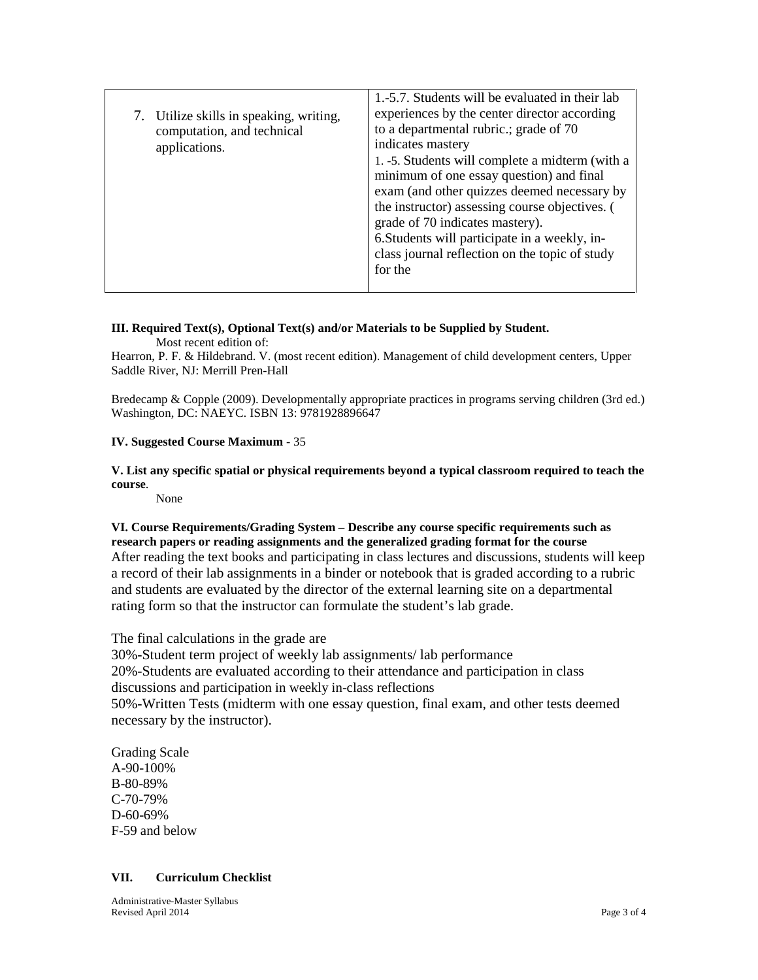| 7. Utilize skills in speaking, writing,<br>computation, and technical<br>applications. | 1.-5.7. Students will be evaluated in their lab<br>experiences by the center director according<br>to a departmental rubric.; grade of 70<br>indicates mastery<br>1. -5. Students will complete a midterm (with a<br>minimum of one essay question) and final<br>exam (and other quizzes deemed necessary by<br>the instructor) assessing course objectives. (<br>grade of 70 indicates mastery).<br>6. Students will participate in a weekly, in-<br>class journal reflection on the topic of study<br>for the |
|----------------------------------------------------------------------------------------|-----------------------------------------------------------------------------------------------------------------------------------------------------------------------------------------------------------------------------------------------------------------------------------------------------------------------------------------------------------------------------------------------------------------------------------------------------------------------------------------------------------------|
|----------------------------------------------------------------------------------------|-----------------------------------------------------------------------------------------------------------------------------------------------------------------------------------------------------------------------------------------------------------------------------------------------------------------------------------------------------------------------------------------------------------------------------------------------------------------------------------------------------------------|

# **III. Required Text(s), Optional Text(s) and/or Materials to be Supplied by Student.**

Most recent edition of:

Hearron, P. F. & Hildebrand. V. (most recent edition). Management of child development centers, Upper Saddle River, NJ: Merrill Pren-Hall

Bredecamp & Copple (2009). Developmentally appropriate practices in programs serving children (3rd ed.) Washington, DC: NAEYC. ISBN 13: 9781928896647

### **IV. Suggested Course Maximum** - 35

**V. List any specific spatial or physical requirements beyond a typical classroom required to teach the course**.

None

**VI. Course Requirements/Grading System – Describe any course specific requirements such as research papers or reading assignments and the generalized grading format for the course** After reading the text books and participating in class lectures and discussions, students will keep a record of their lab assignments in a binder or notebook that is graded according to a rubric and students are evaluated by the director of the external learning site on a departmental rating form so that the instructor can formulate the student's lab grade.

The final calculations in the grade are

30%-Student term project of weekly lab assignments/ lab performance 20%-Students are evaluated according to their attendance and participation in class discussions and participation in weekly in-class reflections 50%-Written Tests (midterm with one essay question, final exam, and other tests deemed necessary by the instructor).

Grading Scale A-90-100% B-80-89% C-70-79% D-60-69% F-59 and below

### **VII. Curriculum Checklist**

Administrative-Master Syllabus Revised April 2014 Page 3 of 4